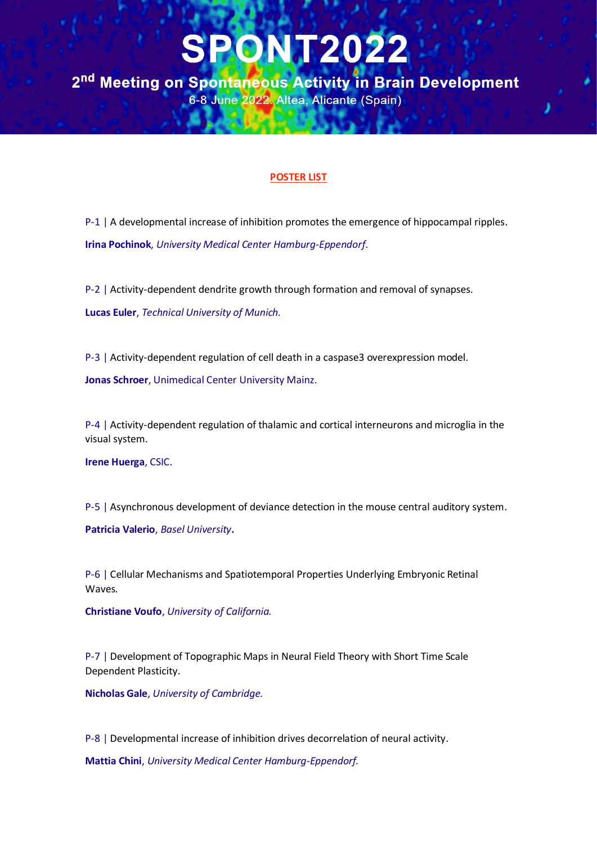2<sup>nd</sup> Meeting on Spontaneous Activity in Brain Development 6-8 June 2022. Altea, Alicante (Spain)

#### **POSTER LIST**

P-1 | A developmental increase of inhibition promotes the emergence of hippocampal ripples. **Irina Pochinok**, *University Medical Center Hamburg-Eppendorf*.

P-2 | Activity-dependent dendrite growth through formation and removal of synapses. **Lucas Euler**, *Technical University of Munich.*

P-3 | Activity-dependent regulation of cell death in a caspase3 overexpression model.

**Jonas Schroer**, Unimedical Center University Mainz.

P-4 | Activity-dependent regulation of thalamic and cortical interneurons and microglia in the visual system.

**Irene Huerga**, CSIC.

P-5 | Asynchronous development of deviance detection in the mouse central auditory system.

**Patricia Valerio**, *Basel University***.**

P-6 | Cellular Mechanisms and Spatiotemporal Properties Underlying Embryonic Retinal Waves.

**Christiane Voufo**, *University of California.*

P-7 | Development of Topographic Maps in Neural Field Theory with Short Time Scale Dependent Plasticity.

**Nicholas Gale**, *University of Cambridge.*

P-8 | Developmental increase of inhibition drives decorrelation of neural activity.

**Mattia Chini**, *University Medical Center Hamburg-Eppendorf.*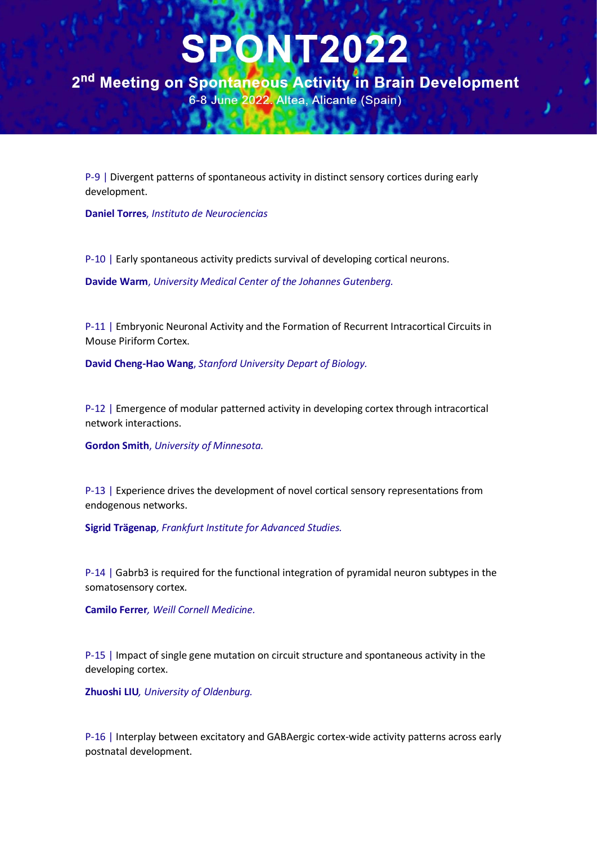2<sup>nd</sup> Meeting on Spontaneous Activity in Brain Development 6-8 June 2022. Altea, Alicante (Spain)

P-9 | Divergent patterns of spontaneous activity in distinct sensory cortices during early development.

**Daniel Torres**, *Instituto de Neurociencias*

P-10 | Early spontaneous activity predicts survival of developing cortical neurons.

**Davide Warm**, *University Medical Center of the Johannes Gutenberg.*

P-11 | Embryonic Neuronal Activity and the Formation of Recurrent Intracortical Circuits in Mouse Piriform Cortex.

**David Cheng-Hao Wang**, *Stanford University Depart of Biology.*

P-12 | Emergence of modular patterned activity in developing cortex through intracortical network interactions.

**Gordon Smith**, *University of Minnesota.*

P-13 | Experience drives the development of novel cortical sensory representations from endogenous networks.

**Sigrid Trägenap***, Frankfurt Institute for Advanced Studies.*

P-14 | Gabrb3 is required for the functional integration of pyramidal neuron subtypes in the somatosensory cortex.

**Camilo Ferrer***, Weill Cornell Medicine.*

P-15 | Impact of single gene mutation on circuit structure and spontaneous activity in the developing cortex.

**Zhuoshi LIU***, University of Oldenburg.*

P-16 | Interplay between excitatory and GABAergic cortex-wide activity patterns across early postnatal development.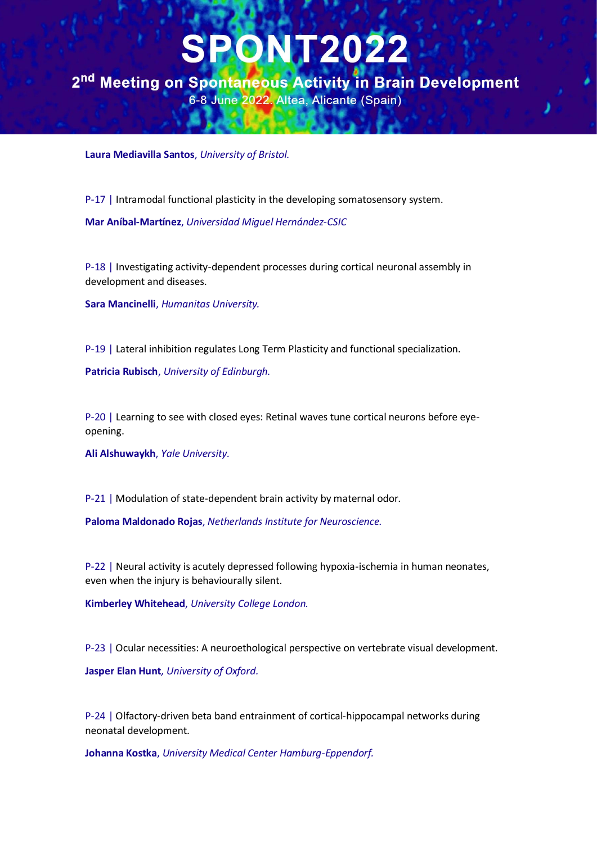2<sup>nd</sup> Meeting on Spontaneous Activity in Brain Development 6-8 June 2022. Altea, Alicante (Spain)

**Laura Mediavilla Santos**, *University of Bristol.*

P-17 | Intramodal functional plasticity in the developing somatosensory system.

**Mar Aníbal-Martínez**, *Universidad Miguel Hernández-CSIC*

P-18 | Investigating activity-dependent processes during cortical neuronal assembly in development and diseases.

**Sara Mancinelli**, *Humanitas University.*

P-19 | Lateral inhibition regulates Long Term Plasticity and functional specialization.

**Patricia Rubisch**, *University of Edinburgh.*

P-20 | Learning to see with closed eyes: Retinal waves tune cortical neurons before eyeopening.

**Ali Alshuwaykh**, *Yale University.*

P-21 | Modulation of state-dependent brain activity by maternal odor.

**Paloma Maldonado Rojas**, *Netherlands Institute for Neuroscience.*

P-22 | Neural activity is acutely depressed following hypoxia-ischemia in human neonates, even when the injury is behaviourally silent.

**Kimberley Whitehead**, *University College London.*

P-23 | Ocular necessities: A neuroethological perspective on vertebrate visual development.

**Jasper Elan Hunt***, University of Oxford.*

P-24 | Olfactory-driven beta band entrainment of cortical-hippocampal networks during neonatal development.

**Johanna Kostka**, *University Medical Center Hamburg-Eppendorf.*